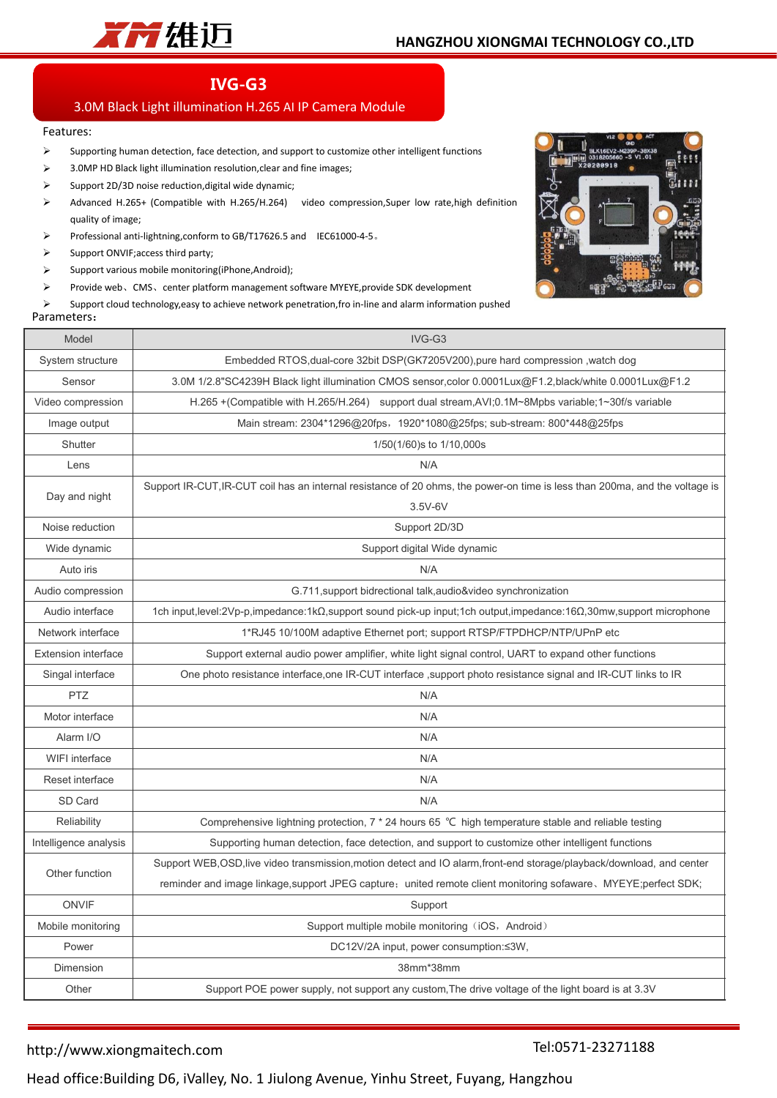

# **IVG-G3**

## 3.0M Black Light illumination H.265 AI IP Camera Module

#### Features:

- $\triangleright$  Supporting human detection, face detection, and support to customize other intelligent functions
- $\geq$  3.0MP HD Black light illumination resolution, clear and fine images;
- $\triangleright$  Support 2D/3D noise reduction, digital wide dynamic;
- Advanced H.265+ (Compatible with H.265/H.264) video compression,Super low rate,high definition quality of image;
- Professional anti-lightning,conform to GB/T17626.5 and IEC61000-4-5。
- $\triangleright$  Support ONVIF; access third party;
- $\triangleright$  Support various mobile monitoring(iPhone,Android);
- Provide web、CMS、center platform management software MYEYE,provide SDK development

 $\triangleright$  Support cloud technology, easy to achieve network penetration, fro in-line and alarm information pushed

#### Parameters:



| Model                      | IVG-G3                                                                                                                      |  |  |  |
|----------------------------|-----------------------------------------------------------------------------------------------------------------------------|--|--|--|
| System structure           | Embedded RTOS, dual-core 32bit DSP(GK7205V200), pure hard compression, watch dog                                            |  |  |  |
| Sensor                     | 3.0M 1/2.8"SC4239H Black light illumination CMOS sensor, color 0.0001Lux@F1.2, black/white 0.0001Lux@F1.2                   |  |  |  |
| Video compression          | H.265 + (Compatible with H.265/H.264) support dual stream, AVI; 0.1M~8Mpbs variable; 1~30f/s variable                       |  |  |  |
| Image output               | Main stream: 2304*1296@20fps, 1920*1080@25fps; sub-stream: 800*448@25fps                                                    |  |  |  |
| Shutter                    | 1/50(1/60) s to 1/10,000s                                                                                                   |  |  |  |
| Lens                       | N/A                                                                                                                         |  |  |  |
| Day and night              | Support IR-CUT, IR-CUT coil has an internal resistance of 20 ohms, the power-on time is less than 200ma, and the voltage is |  |  |  |
|                            | $3.5V-6V$                                                                                                                   |  |  |  |
| Noise reduction            | Support 2D/3D                                                                                                               |  |  |  |
| Wide dynamic               | Support digital Wide dynamic                                                                                                |  |  |  |
| Auto iris                  | N/A                                                                                                                         |  |  |  |
| Audio compression          | G.711, support bidrectional talk, audio&video synchronization                                                               |  |  |  |
| Audio interface            | 1ch input, level: 2Vp-p, impedance: 1kΩ, support sound pick-up input; 1ch output, impedance: 16Ω, 30mw, support microphone  |  |  |  |
| Network interface          | 1*RJ45 10/100M adaptive Ethernet port; support RTSP/FTPDHCP/NTP/UPnP etc                                                    |  |  |  |
| <b>Extension interface</b> | Support external audio power amplifier, white light signal control, UART to expand other functions                          |  |  |  |
| Singal interface           | One photo resistance interface, one IR-CUT interface, support photo resistance signal and IR-CUT links to IR                |  |  |  |
| <b>PTZ</b>                 | N/A                                                                                                                         |  |  |  |
| Motor interface            | N/A                                                                                                                         |  |  |  |
| Alarm I/O                  | N/A                                                                                                                         |  |  |  |
| <b>WIFI</b> interface      | N/A                                                                                                                         |  |  |  |
| Reset interface            | N/A                                                                                                                         |  |  |  |
| SD Card                    | N/A                                                                                                                         |  |  |  |
| Reliability                | Comprehensive lightning protection, 7 * 24 hours 65 °C high temperature stable and reliable testing                         |  |  |  |
| Intelligence analysis      | Supporting human detection, face detection, and support to customize other intelligent functions                            |  |  |  |
| Other function             | Support WEB, OSD, live video transmission, motion detect and IO alarm, front-end storage/playback/download, and center      |  |  |  |
|                            | reminder and image linkage, support JPEG capture; united remote client monitoring sofaware, MYEYE; perfect SDK;             |  |  |  |
| <b>ONVIF</b>               | Support                                                                                                                     |  |  |  |
| Mobile monitoring          | Support multiple mobile monitoring (iOS, Android)                                                                           |  |  |  |
| Power                      | DC12V/2A input, power consumption:≤3W,                                                                                      |  |  |  |
| Dimension                  | 38mm*38mm                                                                                                                   |  |  |  |
| Other                      | Support POE power supply, not support any custom, The drive voltage of the light board is at 3.3V                           |  |  |  |

### http://www.xiongmaitech.com

### Tel:0571-23271188

Head office:Building D6, iValley, No. 1 Jiulong Avenue, Yinhu Street, Fuyang, Hangzhou